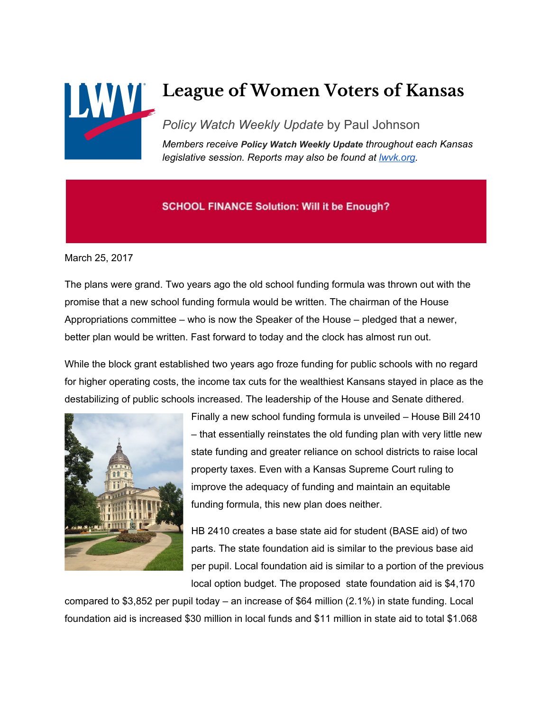

# **League of Women Voters of Kansas**

*Policy Watch Weekly Update* by Paul Johnson *Members receive Policy Watch Weekly Update throughout each Kansas legislative session. Reports may also be found at [lwvk.org.](http://lwvk.org/ks-legislative-reports)*

## **SCHOOL FINANCE Solution: Will it be Enough?**

March 25, 2017

The plans were grand. Two years ago the old school funding formula was thrown out with the promise that a new school funding formula would be written. The chairman of the House Appropriations committee – who is now the Speaker of the House – pledged that a newer, better plan would be written. Fast forward to today and the clock has almost run out.

While the block grant established two years ago froze funding for public schools with no regard for higher operating costs, the income tax cuts for the wealthiest Kansans stayed in place as the destabilizing of public schools increased. The leadership of the House and Senate dithered.



Finally a new school funding formula is unveiled – House Bill 2410 – that essentially reinstates the old funding plan with very little new state funding and greater reliance on school districts to raise local property taxes. Even with a Kansas Supreme Court ruling to improve the adequacy of funding and maintain an equitable funding formula, this new plan does neither.

HB 2410 creates a base state aid for student (BASE aid) of two parts. The state foundation aid is similar to the previous base aid per pupil. Local foundation aid is similar to a portion of the previous local option budget. The proposed state foundation aid is \$4,170

compared to \$3,852 per pupil today – an increase of \$64 million (2.1%) in state funding. Local foundation aid is increased \$30 million in local funds and \$11 million in state aid to total \$1.068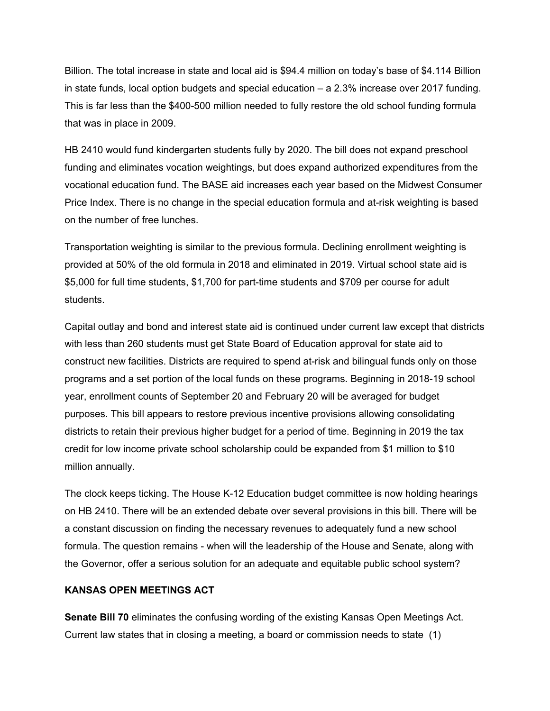Billion. The total increase in state and local aid is \$94.4 million on today's base of \$4.114 Billion in state funds, local option budgets and special education – a 2.3% increase over 2017 funding. This is far less than the \$400-500 million needed to fully restore the old school funding formula that was in place in 2009.

HB 2410 would fund kindergarten students fully by 2020. The bill does not expand preschool funding and eliminates vocation weightings, but does expand authorized expenditures from the vocational education fund. The BASE aid increases each year based on the Midwest Consumer Price Index. There is no change in the special education formula and at-risk weighting is based on the number of free lunches.

Transportation weighting is similar to the previous formula. Declining enrollment weighting is provided at 50% of the old formula in 2018 and eliminated in 2019. Virtual school state aid is \$5,000 for full time students, \$1,700 for part-time students and \$709 per course for adult students.

Capital outlay and bond and interest state aid is continued under current law except that districts with less than 260 students must get State Board of Education approval for state aid to construct new facilities. Districts are required to spend at-risk and bilingual funds only on those programs and a set portion of the local funds on these programs. Beginning in 2018-19 school year, enrollment counts of September 20 and February 20 will be averaged for budget purposes. This bill appears to restore previous incentive provisions allowing consolidating districts to retain their previous higher budget for a period of time. Beginning in 2019 the tax credit for low income private school scholarship could be expanded from \$1 million to \$10 million annually.

The clock keeps ticking. The House K-12 Education budget committee is now holding hearings on HB 2410. There will be an extended debate over several provisions in this bill. There will be a constant discussion on finding the necessary revenues to adequately fund a new school formula. The question remains - when will the leadership of the House and Senate, along with the Governor, offer a serious solution for an adequate and equitable public school system?

#### **KANSAS OPEN MEETINGS ACT**

**Senate Bill 70** eliminates the confusing wording of the existing Kansas Open Meetings Act. Current law states that in closing a meeting, a board or commission needs to state (1)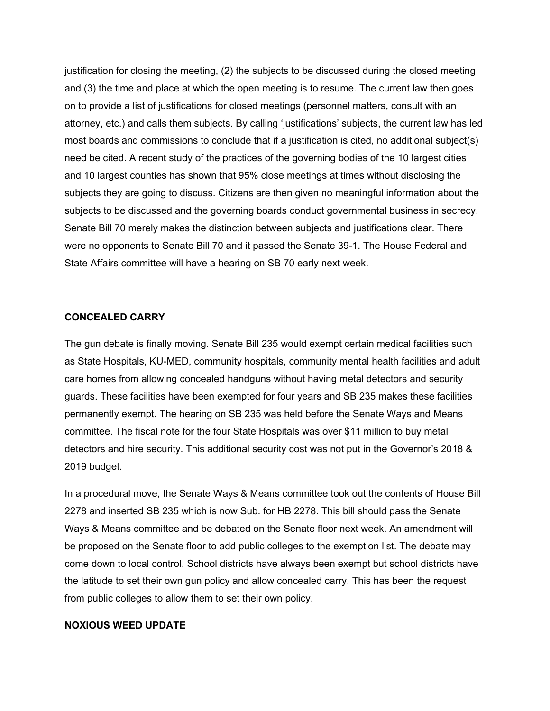justification for closing the meeting, (2) the subjects to be discussed during the closed meeting and (3) the time and place at which the open meeting is to resume. The current law then goes on to provide a list of justifications for closed meetings (personnel matters, consult with an attorney, etc.) and calls them subjects. By calling 'justifications' subjects, the current law has led most boards and commissions to conclude that if a justification is cited, no additional subject(s) need be cited. A recent study of the practices of the governing bodies of the 10 largest cities and 10 largest counties has shown that 95% close meetings at times without disclosing the subjects they are going to discuss. Citizens are then given no meaningful information about the subjects to be discussed and the governing boards conduct governmental business in secrecy. Senate Bill 70 merely makes the distinction between subjects and justifications clear. There were no opponents to Senate Bill 70 and it passed the Senate 39-1. The House Federal and State Affairs committee will have a hearing on SB 70 early next week.

#### **CONCEALED CARRY**

The gun debate is finally moving. Senate Bill 235 would exempt certain medical facilities such as State Hospitals, KU-MED, community hospitals, community mental health facilities and adult care homes from allowing concealed handguns without having metal detectors and security guards. These facilities have been exempted for four years and SB 235 makes these facilities permanently exempt. The hearing on SB 235 was held before the Senate Ways and Means committee. The fiscal note for the four State Hospitals was over \$11 million to buy metal detectors and hire security. This additional security cost was not put in the Governor's 2018 & 2019 budget.

In a procedural move, the Senate Ways & Means committee took out the contents of House Bill 2278 and inserted SB 235 which is now Sub. for HB 2278. This bill should pass the Senate Ways & Means committee and be debated on the Senate floor next week. An amendment will be proposed on the Senate floor to add public colleges to the exemption list. The debate may come down to local control. School districts have always been exempt but school districts have the latitude to set their own gun policy and allow concealed carry. This has been the request from public colleges to allow them to set their own policy.

#### **NOXIOUS WEED UPDATE**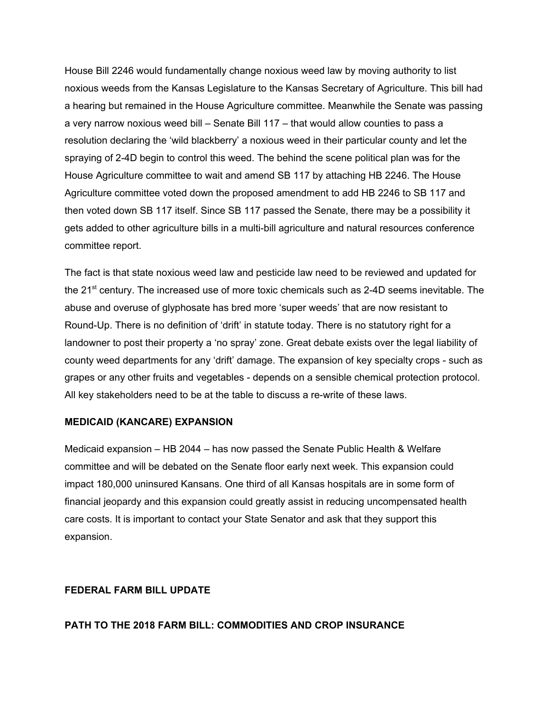House Bill 2246 would fundamentally change noxious weed law by moving authority to list noxious weeds from the Kansas Legislature to the Kansas Secretary of Agriculture. This bill had a hearing but remained in the House Agriculture committee. Meanwhile the Senate was passing a very narrow noxious weed bill – Senate Bill 117 – that would allow counties to pass a resolution declaring the 'wild blackberry' a noxious weed in their particular county and let the spraying of 2-4D begin to control this weed. The behind the scene political plan was for the House Agriculture committee to wait and amend SB 117 by attaching HB 2246. The House Agriculture committee voted down the proposed amendment to add HB 2246 to SB 117 and then voted down SB 117 itself. Since SB 117 passed the Senate, there may be a possibility it gets added to other agriculture bills in a multi-bill agriculture and natural resources conference committee report.

The fact is that state noxious weed law and pesticide law need to be reviewed and updated for the 21<sup>st</sup> century. The increased use of more toxic chemicals such as 2-4D seems inevitable. The abuse and overuse of glyphosate has bred more 'super weeds' that are now resistant to Round-Up. There is no definition of 'drift' in statute today. There is no statutory right for a landowner to post their property a 'no spray' zone. Great debate exists over the legal liability of county weed departments for any 'drift' damage. The expansion of key specialty crops - such as grapes or any other fruits and vegetables - depends on a sensible chemical protection protocol. All key stakeholders need to be at the table to discuss a re-write of these laws.

#### **MEDICAID (KANCARE) EXPANSION**

Medicaid expansion – HB 2044 – has now passed the Senate Public Health & Welfare committee and will be debated on the Senate floor early next week. This expansion could impact 180,000 uninsured Kansans. One third of all Kansas hospitals are in some form of financial jeopardy and this expansion could greatly assist in reducing uncompensated health care costs. It is important to contact your State Senator and ask that they support this expansion.

### **FEDERAL FARM BILL UPDATE**

#### **PATH TO THE 2018 FARM BILL: COMMODITIES AND CROP INSURANCE**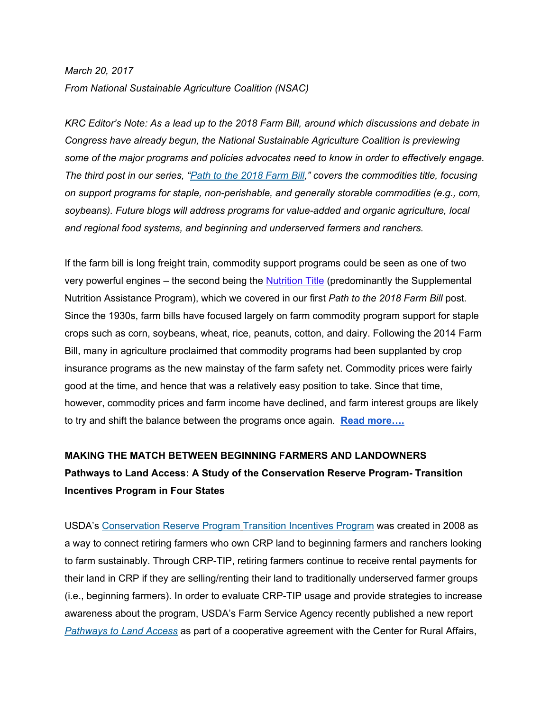## *March 20, 2017 From National Sustainable Agriculture Coalition (NSAC)*

*KRC Editor's Note: As a lead up to the 2018 Farm Bill, around which discussions and debate in Congress have already begun, the National Sustainable Agriculture Coalition is previewing some of the major programs and policies advocates need to know in order to effectively engage. The third post in our series, "Path to the 2018 [Farm](http://sustainableagriculture.net/blog/path-to-the-2018farmbill-nutrition/) Bill," covers the commodities title, focusing on support programs for staple, non-perishable, and generally storable commodities (e.g., corn, soybeans). Future blogs will address programs for value-added and organic agriculture, local and regional food systems, and beginning and underserved farmers and ranchers.*

If the farm bill is long freight train, commodity support programs could be seen as one of two very powerful engines – the second being the [Nutrition](http://sustainableagriculture.net/blog/path-to-the-2018farmbill-nutrition/) Title (predominantly the Supplemental Nutrition Assistance Program), which we covered in our first *Path to the 2018 Farm Bill* post. Since the 1930s, farm bills have focused largely on farm commodity program support for staple crops such as corn, soybeans, wheat, rice, peanuts, cotton, and dairy. Following the 2014 Farm Bill, many in agriculture proclaimed that commodity programs had been supplanted by crop insurance programs as the new mainstay of the farm safety net. Commodity prices were fairly good at the time, and hence that was a relatively easy position to take. Since that time, however, commodity prices and farm income have declined, and farm interest groups are likely to try and shift the balance between the programs once again. **Read [more….](http://sustainableagriculture.net/blog/2018-farm-bill-commodities/?utm_source=roundup&utm_medium=email)**

# **MAKING THE MATCH BETWEEN BEGINNING FARMERS AND LANDOWNERS Pathways to Land Access: A Study of the Conservation Reserve Program- Transition Incentives Program in Four States**

USDA's [Conservation](http://salsa.wiredforchange.com/dia/track.jsp?v=2&c=w%2BR4fgOWD8wlkLVZMzZfVnMRJiJeEOsy) Reserve Program Transition [Incentives](http://salsa.wiredforchange.com/dia/track.jsp?v=2&c=cH6iUkW%2BgwZNooMbOpiJFdnLzNFg4yqZ) Program was created in 2008 as a way to connect retiring farmers who own CRP land to beginning farmers and ranchers looking to farm sustainably. Through CRP-TIP, retiring farmers continue to receive rental payments for their land in CRP if they are selling/renting their land to traditionally underserved farmer groups (i.e., beginning farmers). In order to evaluate CRP-TIP usage and provide strategies to increase awareness about the program, USDA's Farm Service Agency recently published a new repor[t](http://salsa.wiredforchange.com/dia/track.jsp?v=2&c=al0qze5%2FDyVDqLznlAJezdnLzNFg4yqZ) *[Pathways](http://salsa.wiredforchange.com/dia/track.jsp?v=2&c=al0qze5%2FDyVDqLznlAJezdnLzNFg4yqZ) to Land Access* as part of a cooperative agreement with the Center for Rural Affairs,